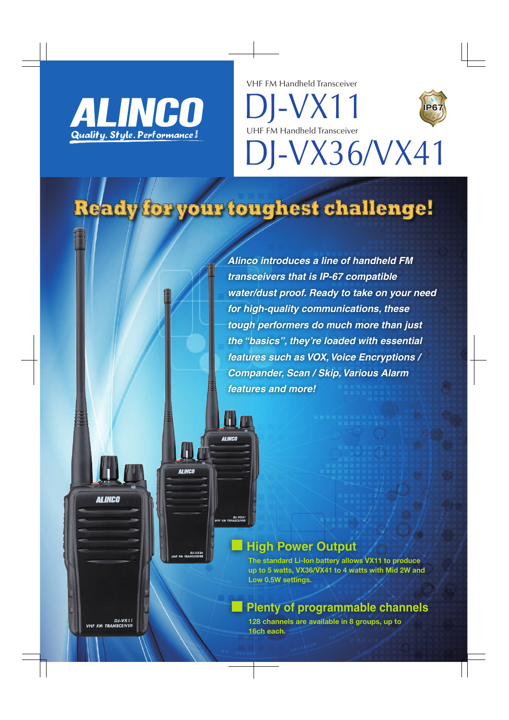

VHF FM Handheld Transceiver

**IP67**

DJ-VX36/VX41 UHF FM Handheld Transceiver

DJ-VX11

# Ready for your toughest challenge!

**BEINCO** 

DJ-VX41

**TH** 

DJ-VX3<br>M TRANSCEIVE

**ALINCO** 

*Alinco introduces a line of handheld FM transceivers that is IP-67 compatible water/dust proof. Ready to take on your need for high-quality communications, these tough performers do much more than just the "basics", they're loaded with essential features such as VOX, Voice Encryptions / Compander, Scan / Skip, Various Alarm features and more!*

# **■ High Power Output**

The standard Li-Ion battery allows VX11 to produce up to 5 watts, VX36/VX41 to 4 watts with Mid 2W and Low 0.5W settings.

# **■ Plenty of programmable channels**

128 channels are available in 8 groups, up to 16ch each.

DJ-VX11<br>VHF FM TRANSCEIVER

**ALINCO**